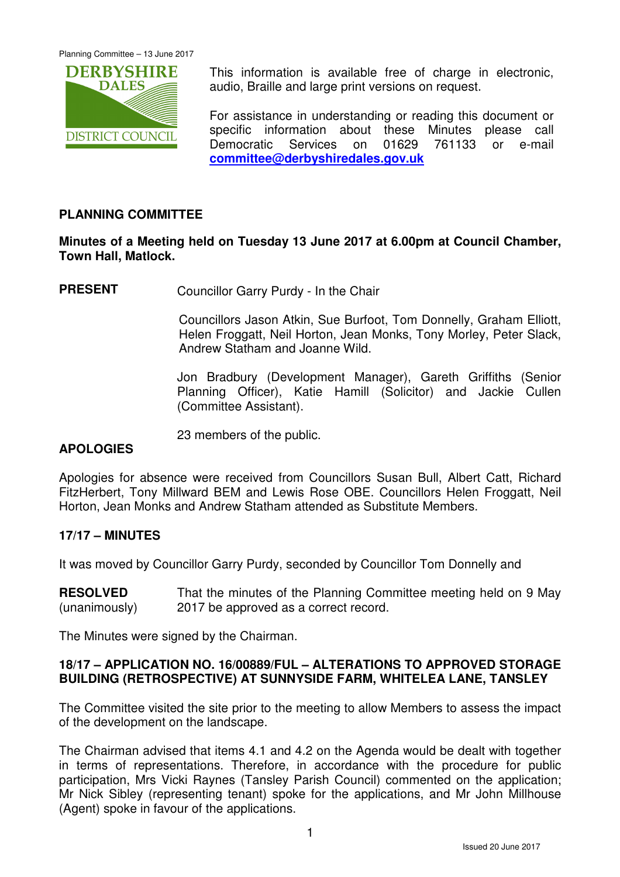

This information is available free of charge in electronic, audio, Braille and large print versions on request.

For assistance in understanding or reading this document or specific information about these Minutes please call Democratic Services on 01629 761133 or e-mail **committee@derbyshiredales.gov.uk**

## **PLANNING COMMITTEE**

## **Minutes of a Meeting held on Tuesday 13 June 2017 at 6.00pm at Council Chamber, Town Hall, Matlock.**

**PRESENT** Councillor Garry Purdy - In the Chair

 Councillors Jason Atkin, Sue Burfoot, Tom Donnelly, Graham Elliott, Helen Froggatt, Neil Horton, Jean Monks, Tony Morley, Peter Slack, Andrew Statham and Joanne Wild.

Jon Bradbury (Development Manager), Gareth Griffiths (Senior Planning Officer), Katie Hamill (Solicitor) and Jackie Cullen (Committee Assistant).

23 members of the public.

### **APOLOGIES**

Apologies for absence were received from Councillors Susan Bull, Albert Catt, Richard FitzHerbert, Tony Millward BEM and Lewis Rose OBE. Councillors Helen Froggatt, Neil Horton, Jean Monks and Andrew Statham attended as Substitute Members.

### **17/17 – MINUTES**

It was moved by Councillor Garry Purdy, seconded by Councillor Tom Donnelly and

**RESOLVED** (unanimously) That the minutes of the Planning Committee meeting held on 9 May 2017 be approved as a correct record.

The Minutes were signed by the Chairman.

### **18/17 – APPLICATION NO. 16/00889/FUL – ALTERATIONS TO APPROVED STORAGE BUILDING (RETROSPECTIVE) AT SUNNYSIDE FARM, WHITELEA LANE, TANSLEY**

The Committee visited the site prior to the meeting to allow Members to assess the impact of the development on the landscape.

The Chairman advised that items 4.1 and 4.2 on the Agenda would be dealt with together in terms of representations. Therefore, in accordance with the procedure for public participation, Mrs Vicki Raynes (Tansley Parish Council) commented on the application; Mr Nick Sibley (representing tenant) spoke for the applications, and Mr John Millhouse (Agent) spoke in favour of the applications.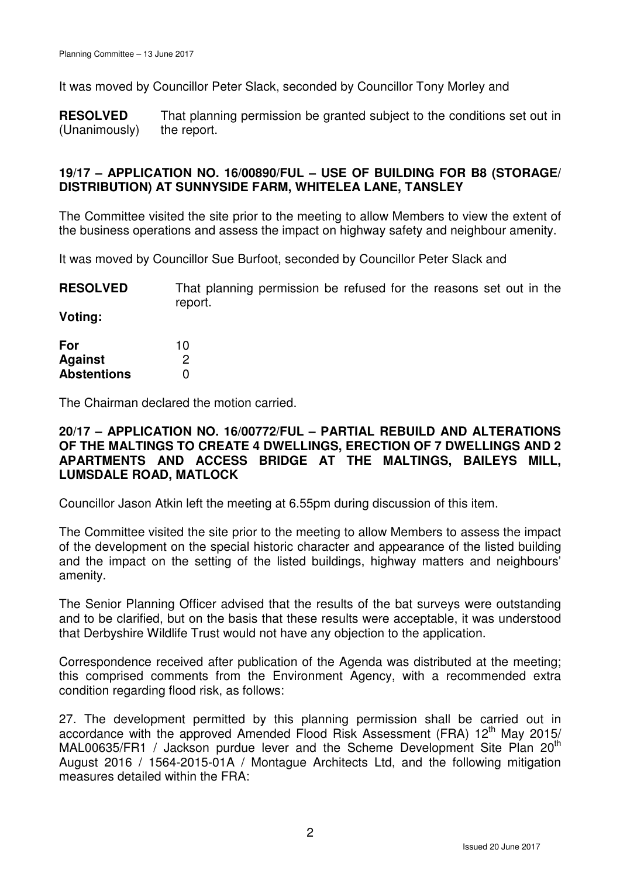It was moved by Councillor Peter Slack, seconded by Councillor Tony Morley and

**RESOLVED** (Unanimously) That planning permission be granted subject to the conditions set out in the report.

## **19/17 – APPLICATION NO. 16/00890/FUL – USE OF BUILDING FOR B8 (STORAGE/ DISTRIBUTION) AT SUNNYSIDE FARM, WHITELEA LANE, TANSLEY**

The Committee visited the site prior to the meeting to allow Members to view the extent of the business operations and assess the impact on highway safety and neighbour amenity.

It was moved by Councillor Sue Burfoot, seconded by Councillor Peter Slack and

**RESOLVED** That planning permission be refused for the reasons set out in the report.

**Voting:** 

| For                | 10 |
|--------------------|----|
| Against            | 2  |
| <b>Abstentions</b> | O  |

The Chairman declared the motion carried.

### **20/17 – APPLICATION NO. 16/00772/FUL – PARTIAL REBUILD AND ALTERATIONS OF THE MALTINGS TO CREATE 4 DWELLINGS, ERECTION OF 7 DWELLINGS AND 2 APARTMENTS AND ACCESS BRIDGE AT THE MALTINGS, BAILEYS MILL, LUMSDALE ROAD, MATLOCK**

Councillor Jason Atkin left the meeting at 6.55pm during discussion of this item.

The Committee visited the site prior to the meeting to allow Members to assess the impact of the development on the special historic character and appearance of the listed building and the impact on the setting of the listed buildings, highway matters and neighbours' amenity.

The Senior Planning Officer advised that the results of the bat surveys were outstanding and to be clarified, but on the basis that these results were acceptable, it was understood that Derbyshire Wildlife Trust would not have any objection to the application.

Correspondence received after publication of the Agenda was distributed at the meeting; this comprised comments from the Environment Agency, with a recommended extra condition regarding flood risk, as follows:

27. The development permitted by this planning permission shall be carried out in accordance with the approved Amended Flood Risk Assessment (FRA) 12<sup>th</sup> May 2015/ MAL00635/FR1 / Jackson purdue lever and the Scheme Development Site Plan 20<sup>th</sup> August 2016 / 1564-2015-01A / Montague Architects Ltd, and the following mitigation measures detailed within the FRA: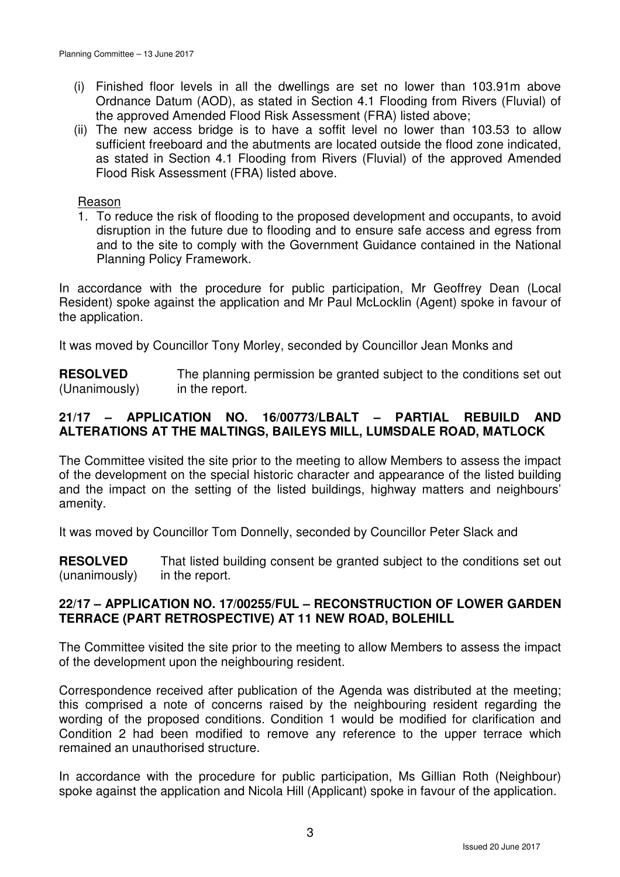- (i) Finished floor levels in all the dwellings are set no lower than 103.91m above Ordnance Datum (AOD), as stated in Section 4.1 Flooding from Rivers (Fluvial) of the approved Amended Flood Risk Assessment (FRA) listed above;
- (ii) The new access bridge is to have a soffit level no lower than 103.53 to allow sufficient freeboard and the abutments are located outside the flood zone indicated, as stated in Section 4.1 Flooding from Rivers (Fluvial) of the approved Amended Flood Risk Assessment (FRA) listed above.

#### Reason

1. To reduce the risk of flooding to the proposed development and occupants, to avoid disruption in the future due to flooding and to ensure safe access and egress from and to the site to comply with the Government Guidance contained in the National Planning Policy Framework.

In accordance with the procedure for public participation, Mr Geoffrey Dean (Local Resident) spoke against the application and Mr Paul McLocklin (Agent) spoke in favour of the application.

It was moved by Councillor Tony Morley, seconded by Councillor Jean Monks and

**RESOLVED** (Unanimously) The planning permission be granted subject to the conditions set out in the report.

## **21/17 – APPLICATION NO. 16/00773/LBALT – PARTIAL REBUILD AND ALTERATIONS AT THE MALTINGS, BAILEYS MILL, LUMSDALE ROAD, MATLOCK**

The Committee visited the site prior to the meeting to allow Members to assess the impact of the development on the special historic character and appearance of the listed building and the impact on the setting of the listed buildings, highway matters and neighbours' amenity.

It was moved by Councillor Tom Donnelly, seconded by Councillor Peter Slack and

**RESOLVED** (unanimously) That listed building consent be granted subject to the conditions set out in the report.

### **22/17 – APPLICATION NO. 17/00255/FUL – RECONSTRUCTION OF LOWER GARDEN TERRACE (PART RETROSPECTIVE) AT 11 NEW ROAD, BOLEHILL**

The Committee visited the site prior to the meeting to allow Members to assess the impact of the development upon the neighbouring resident.

Correspondence received after publication of the Agenda was distributed at the meeting; this comprised a note of concerns raised by the neighbouring resident regarding the wording of the proposed conditions. Condition 1 would be modified for clarification and Condition 2 had been modified to remove any reference to the upper terrace which remained an unauthorised structure.

In accordance with the procedure for public participation, Ms Gillian Roth (Neighbour) spoke against the application and Nicola Hill (Applicant) spoke in favour of the application.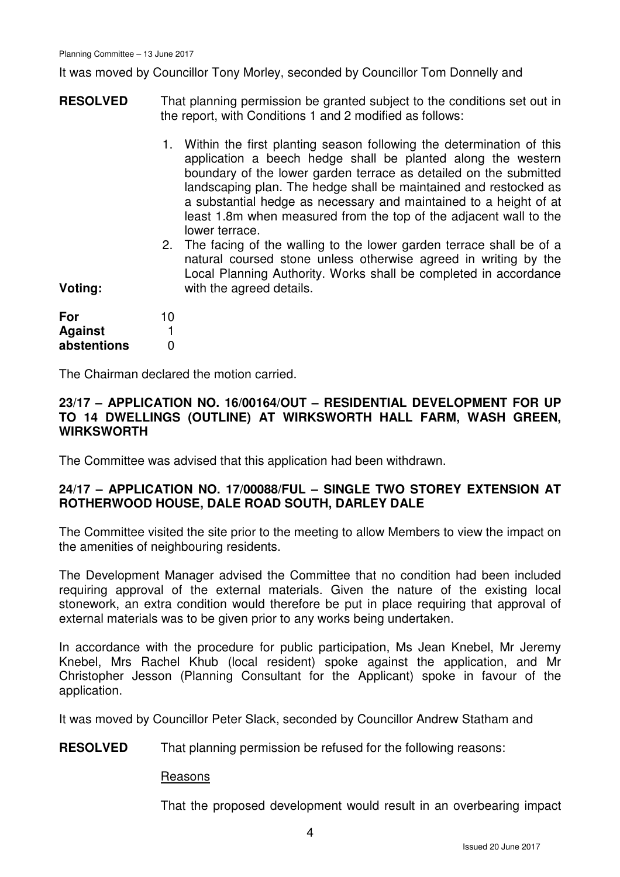It was moved by Councillor Tony Morley, seconded by Councillor Tom Donnelly and

- **RESOLVED** That planning permission be granted subject to the conditions set out in the report, with Conditions 1 and 2 modified as follows:
	- 1. Within the first planting season following the determination of this application a beech hedge shall be planted along the western boundary of the lower garden terrace as detailed on the submitted landscaping plan. The hedge shall be maintained and restocked as a substantial hedge as necessary and maintained to a height of at least 1.8m when measured from the top of the adjacent wall to the lower terrace.
	- 2. The facing of the walling to the lower garden terrace shall be of a natural coursed stone unless otherwise agreed in writing by the Local Planning Authority. Works shall be completed in accordance with the agreed details.

| For            | 10 |
|----------------|----|
| <b>Against</b> |    |
| abstentions    | O  |

**Voting:** 

The Chairman declared the motion carried.

#### **23/17 – APPLICATION NO. 16/00164/OUT – RESIDENTIAL DEVELOPMENT FOR UP TO 14 DWELLINGS (OUTLINE) AT WIRKSWORTH HALL FARM, WASH GREEN, WIRKSWORTH**

The Committee was advised that this application had been withdrawn.

### **24/17 – APPLICATION NO. 17/00088/FUL – SINGLE TWO STOREY EXTENSION AT ROTHERWOOD HOUSE, DALE ROAD SOUTH, DARLEY DALE**

The Committee visited the site prior to the meeting to allow Members to view the impact on the amenities of neighbouring residents.

The Development Manager advised the Committee that no condition had been included requiring approval of the external materials. Given the nature of the existing local stonework, an extra condition would therefore be put in place requiring that approval of external materials was to be given prior to any works being undertaken.

In accordance with the procedure for public participation, Ms Jean Knebel, Mr Jeremy Knebel, Mrs Rachel Khub (local resident) spoke against the application, and Mr Christopher Jesson (Planning Consultant for the Applicant) spoke in favour of the application.

It was moved by Councillor Peter Slack, seconded by Councillor Andrew Statham and

**RESOLVED** That planning permission be refused for the following reasons:

#### Reasons

That the proposed development would result in an overbearing impact